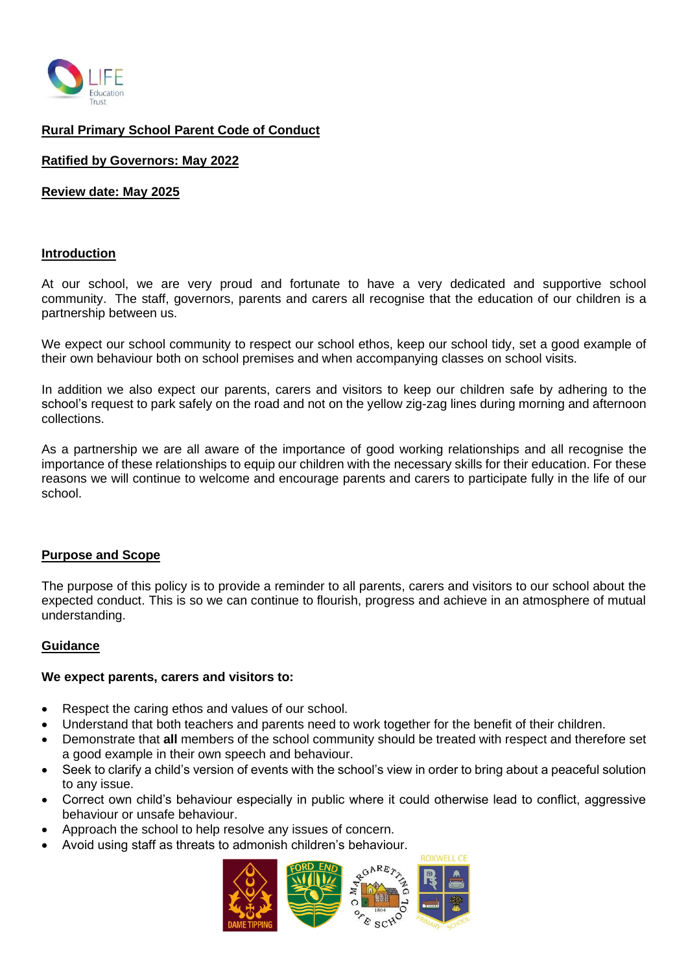

# **Rural Primary School Parent Code of Conduct**

#### **Ratified by Governors: May 2022**

**Review date: May 2025**

#### **Introduction**

At our school, we are very proud and fortunate to have a very dedicated and supportive school community. The staff, governors, parents and carers all recognise that the education of our children is a partnership between us.

We expect our school community to respect our school ethos, keep our school tidy, set a good example of their own behaviour both on school premises and when accompanying classes on school visits.

In addition we also expect our parents, carers and visitors to keep our children safe by adhering to the school's request to park safely on the road and not on the yellow zig-zag lines during morning and afternoon collections.

As a partnership we are all aware of the importance of good working relationships and all recognise the importance of these relationships to equip our children with the necessary skills for their education. For these reasons we will continue to welcome and encourage parents and carers to participate fully in the life of our school.

#### **Purpose and Scope**

The purpose of this policy is to provide a reminder to all parents, carers and visitors to our school about the expected conduct. This is so we can continue to flourish, progress and achieve in an atmosphere of mutual understanding.

#### **Guidance**

#### **We expect parents, carers and visitors to:**

- Respect the caring ethos and values of our school.
- Understand that both teachers and parents need to work together for the benefit of their children.
- Demonstrate that **all** members of the school community should be treated with respect and therefore set a good example in their own speech and behaviour.
- Seek to clarify a child's version of events with the school's view in order to bring about a peaceful solution to any issue.
- Correct own child's behaviour especially in public where it could otherwise lead to conflict, aggressive behaviour or unsafe behaviour.
- Approach the school to help resolve any issues of concern.
- Avoid using staff as threats to admonish children's behaviour.

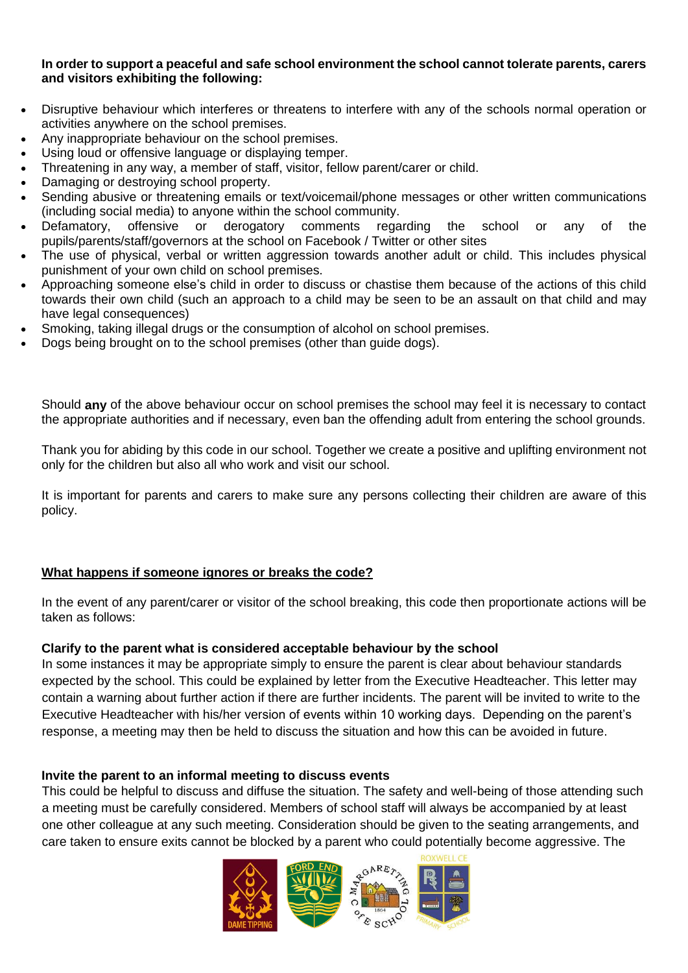## **In order to support a peaceful and safe school environment the school cannot tolerate parents, carers and visitors exhibiting the following:**

- Disruptive behaviour which interferes or threatens to interfere with any of the schools normal operation or activities anywhere on the school premises.
- Any inappropriate behaviour on the school premises.
- Using loud or offensive language or displaying temper.
- Threatening in any way, a member of staff, visitor, fellow parent/carer or child.
- Damaging or destroying school property.
- Sending abusive or threatening emails or text/voicemail/phone messages or other written communications (including social media) to anyone within the school community.
- Defamatory, offensive or derogatory comments regarding the school or any of the pupils/parents/staff/governors at the school on Facebook / Twitter or other sites
- The use of physical, verbal or written aggression towards another adult or child. This includes physical punishment of your own child on school premises.
- Approaching someone else's child in order to discuss or chastise them because of the actions of this child towards their own child (such an approach to a child may be seen to be an assault on that child and may have legal consequences)
- Smoking, taking illegal drugs or the consumption of alcohol on school premises.
- Dogs being brought on to the school premises (other than guide dogs).

Should **any** of the above behaviour occur on school premises the school may feel it is necessary to contact the appropriate authorities and if necessary, even ban the offending adult from entering the school grounds.

Thank you for abiding by this code in our school. Together we create a positive and uplifting environment not only for the children but also all who work and visit our school.

It is important for parents and carers to make sure any persons collecting their children are aware of this policy.

## **What happens if someone ignores or breaks the code?**

In the event of any parent/carer or visitor of the school breaking, this code then proportionate actions will be taken as follows:

## **Clarify to the parent what is considered acceptable behaviour by the school**

In some instances it may be appropriate simply to ensure the parent is clear about behaviour standards expected by the school. This could be explained by letter from the Executive Headteacher. This letter may contain a warning about further action if there are further incidents. The parent will be invited to write to the Executive Headteacher with his/her version of events within 10 working days. Depending on the parent's response, a meeting may then be held to discuss the situation and how this can be avoided in future.

## **Invite the parent to an informal meeting to discuss events**

This could be helpful to discuss and diffuse the situation. The safety and well-being of those attending such a meeting must be carefully considered. Members of school staff will always be accompanied by at least one other colleague at any such meeting. Consideration should be given to the seating arrangements, and care taken to ensure exits cannot be blocked by a parent who could potentially become aggressive. The

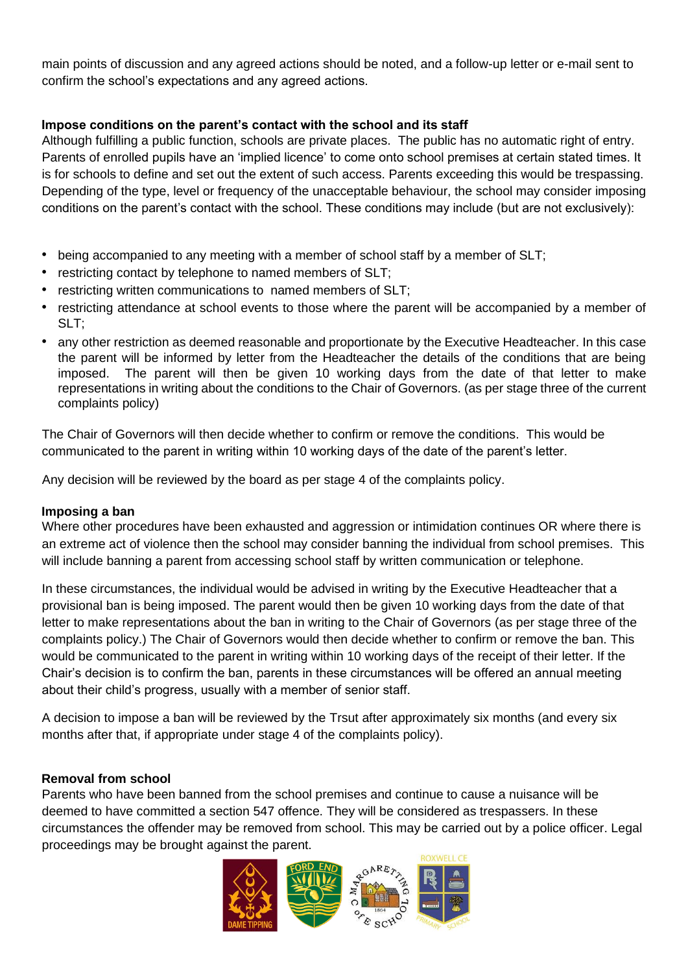main points of discussion and any agreed actions should be noted, and a follow-up letter or e-mail sent to confirm the school's expectations and any agreed actions.

# **Impose conditions on the parent's contact with the school and its staff**

Although fulfilling a public function, schools are private places. The public has no automatic right of entry. Parents of enrolled pupils have an 'implied licence' to come onto school premises at certain stated times. It is for schools to define and set out the extent of such access. Parents exceeding this would be trespassing. Depending of the type, level or frequency of the unacceptable behaviour, the school may consider imposing conditions on the parent's contact with the school. These conditions may include (but are not exclusively):

- being accompanied to any meeting with a member of school staff by a member of SLT;
- restricting contact by telephone to named members of SLT:
- restricting written communications to named members of SLT:
- restricting attendance at school events to those where the parent will be accompanied by a member of SLT;
- any other restriction as deemed reasonable and proportionate by the Executive Headteacher. In this case the parent will be informed by letter from the Headteacher the details of the conditions that are being imposed. The parent will then be given 10 working days from the date of that letter to make representations in writing about the conditions to the Chair of Governors. (as per stage three of the current complaints policy)

The Chair of Governors will then decide whether to confirm or remove the conditions. This would be communicated to the parent in writing within 10 working days of the date of the parent's letter.

Any decision will be reviewed by the board as per stage 4 of the complaints policy.

## **Imposing a ban**

Where other procedures have been exhausted and aggression or intimidation continues OR where there is an extreme act of violence then the school may consider banning the individual from school premises. This will include banning a parent from accessing school staff by written communication or telephone.

In these circumstances, the individual would be advised in writing by the Executive Headteacher that a provisional ban is being imposed. The parent would then be given 10 working days from the date of that letter to make representations about the ban in writing to the Chair of Governors (as per stage three of the complaints policy.) The Chair of Governors would then decide whether to confirm or remove the ban. This would be communicated to the parent in writing within 10 working days of the receipt of their letter. If the Chair's decision is to confirm the ban, parents in these circumstances will be offered an annual meeting about their child's progress, usually with a member of senior staff.

A decision to impose a ban will be reviewed by the Trsut after approximately six months (and every six months after that, if appropriate under stage 4 of the complaints policy).

# **Removal from school**

Parents who have been banned from the school premises and continue to cause a nuisance will be deemed to have committed a section 547 offence. They will be considered as trespassers. In these circumstances the offender may be removed from school. This may be carried out by a police officer. Legal proceedings may be brought against the parent.

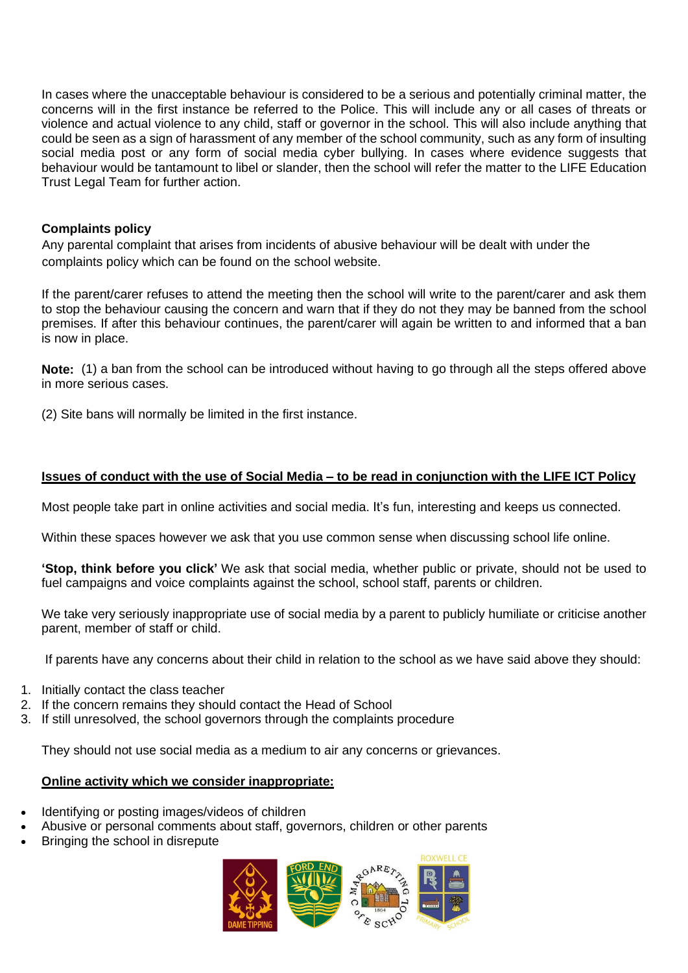In cases where the unacceptable behaviour is considered to be a serious and potentially criminal matter, the concerns will in the first instance be referred to the Police. This will include any or all cases of threats or violence and actual violence to any child, staff or governor in the school. This will also include anything that could be seen as a sign of harassment of any member of the school community, such as any form of insulting social media post or any form of social media cyber bullying. In cases where evidence suggests that behaviour would be tantamount to libel or slander, then the school will refer the matter to the LIFE Education Trust Legal Team for further action.

## **Complaints policy**

Any parental complaint that arises from incidents of abusive behaviour will be dealt with under the complaints policy which can be found on the school website.

If the parent/carer refuses to attend the meeting then the school will write to the parent/carer and ask them to stop the behaviour causing the concern and warn that if they do not they may be banned from the school premises. If after this behaviour continues, the parent/carer will again be written to and informed that a ban is now in place.

**Note:** (1) a ban from the school can be introduced without having to go through all the steps offered above in more serious cases.

(2) Site bans will normally be limited in the first instance.

## Issues of conduct with the use of Social Media - to be read in conjunction with the LIFE ICT Policy

Most people take part in online activities and social media. It's fun, interesting and keeps us connected.

Within these spaces however we ask that you use common sense when discussing school life online.

**'Stop, think before you click'** We ask that social media, whether public or private, should not be used to fuel campaigns and voice complaints against the school, school staff, parents or children.

We take very seriously inappropriate use of social media by a parent to publicly humiliate or criticise another parent, member of staff or child.

If parents have any concerns about their child in relation to the school as we have said above they should:

- 1. Initially contact the class teacher
- 2. If the concern remains they should contact the Head of School
- 3. If still unresolved, the school governors through the complaints procedure

They should not use social media as a medium to air any concerns or grievances.

# **Online activity which we consider inappropriate:**

- Identifying or posting images/videos of children
- Abusive or personal comments about staff, governors, children or other parents
- Bringing the school in disrepute